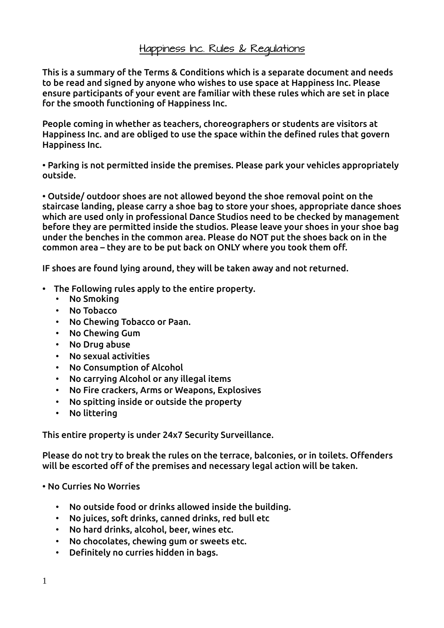This is a summary of the Terms & Conditions which is a separate document and needs to be read and signed by anyone who wishes to use space at Happiness Inc. Please ensure participants of your event are familiar with these rules which are set in place for the smooth functioning of Happiness Inc.

People coming in whether as teachers, choreographers or students are visitors at Happiness Inc. and are obliged to use the space within the defined rules that govern Happiness Inc.

• Parking is not permitted inside the premises. Please park your vehicles appropriately outside.

• Outside/ outdoor shoes are not allowed beyond the shoe removal point on the staircase landing, please carry a shoe bag to store your shoes, appropriate dance shoes which are used only in professional Dance Studios need to be checked by management before they are permitted inside the studios. Please leave your shoes in your shoe bag under the benches in the common area. Please do NOT put the shoes back on in the common area – they are to be put back on ONLY where you took them off.

IF shoes are found lying around, they will be taken away and not returned.

- The Following rules apply to the entire property.
	- No Smoking
	- No Tobacco
	- No Chewing Tobacco or Paan.
	- No Chewing Gum
	- No Drug abuse
	- No sexual activities
	- No Consumption of Alcohol
	- No carrying Alcohol or any illegal items
	- No Fire crackers, Arms or Weapons, Explosives
	- No spitting inside or outside the property
	- No littering

This entire property is under 24x7 Security Surveillance.

Please do not try to break the rules on the terrace, balconies, or in toilets. Offenders will be escorted off of the premises and necessary legal action will be taken.

• No Curries No Worries

- No outside food or drinks allowed inside the building.
- No juices, soft drinks, canned drinks, red bull etc
- No hard drinks, alcohol, beer, wines etc.
- No chocolates, chewing gum or sweets etc.
- Definitely no curries hidden in bags.